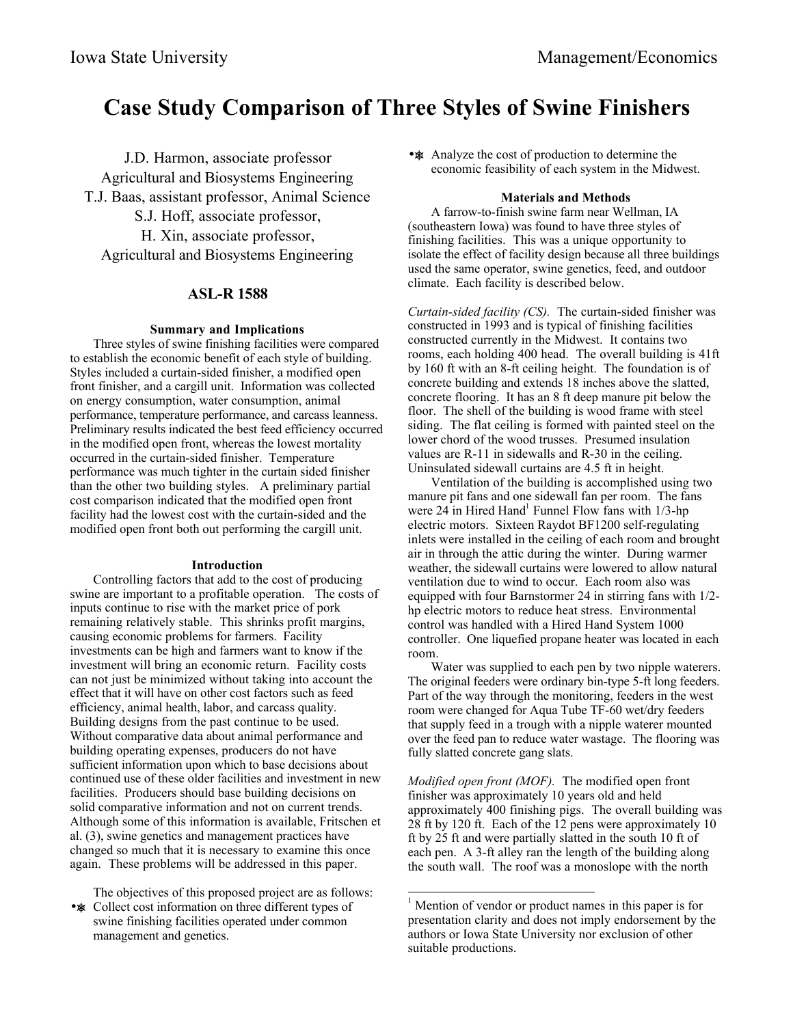# **Case Study Comparison of Three Styles of Swine Finishers**

J.D. Harmon, associate professor Agricultural and Biosystems Engineering T.J. Baas, assistant professor, Animal Science S.J. Hoff, associate professor, H. Xin, associate professor, Agricultural and Biosystems Engineering

# **ASL-R 1588**

## **Summary and Implications**

Three styles of swine finishing facilities were compared to establish the economic benefit of each style of building. Styles included a curtain-sided finisher, a modified open front finisher, and a cargill unit. Information was collected on energy consumption, water consumption, animal performance, temperature performance, and carcass leanness. Preliminary results indicated the best feed efficiency occurred in the modified open front, whereas the lowest mortality occurred in the curtain-sided finisher. Temperature performance was much tighter in the curtain sided finisher than the other two building styles. A preliminary partial cost comparison indicated that the modified open front facility had the lowest cost with the curtain-sided and the modified open front both out performing the cargill unit.

#### **Introduction**

Controlling factors that add to the cost of producing swine are important to a profitable operation. The costs of inputs continue to rise with the market price of pork remaining relatively stable. This shrinks profit margins, causing economic problems for farmers. Facility investments can be high and farmers want to know if the investment will bring an economic return. Facility costs can not just be minimized without taking into account the effect that it will have on other cost factors such as feed efficiency, animal health, labor, and carcass quality. Building designs from the past continue to be used. Without comparative data about animal performance and building operating expenses, producers do not have sufficient information upon which to base decisions about continued use of these older facilities and investment in new facilities. Producers should base building decisions on solid comparative information and not on current trends. Although some of this information is available, Fritschen et al. (3), swine genetics and management practices have changed so much that it is necessary to examine this once again. These problems will be addressed in this paper.

The objectives of this proposed project are as follows:

•  $\ast$  Collect cost information on three different types of swine finishing facilities operated under common management and genetics.

•  $\ast$  Analyze the cost of production to determine the economic feasibility of each system in the Midwest.

#### **Materials and Methods**

A farrow-to-finish swine farm near Wellman, IA (southeastern Iowa) was found to have three styles of finishing facilities. This was a unique opportunity to isolate the effect of facility design because all three buildings used the same operator, swine genetics, feed, and outdoor climate. Each facility is described below.

*Curtain-sided facility (CS).* The curtain-sided finisher was constructed in 1993 and is typical of finishing facilities constructed currently in the Midwest. It contains two rooms, each holding 400 head. The overall building is 41ft by 160 ft with an 8-ft ceiling height. The foundation is of concrete building and extends 18 inches above the slatted, concrete flooring. It has an 8 ft deep manure pit below the floor. The shell of the building is wood frame with steel siding. The flat ceiling is formed with painted steel on the lower chord of the wood trusses. Presumed insulation values are R-11 in sidewalls and R-30 in the ceiling. Uninsulated sidewall curtains are 4.5 ft in height.

Ventilation of the building is accomplished using two manure pit fans and one sidewall fan per room. The fans were  $24$  in Hired Hand<sup>1</sup> Funnel Flow fans with  $1/3$ -hp electric motors. Sixteen Raydot BF1200 self-regulating inlets were installed in the ceiling of each room and brought air in through the attic during the winter. During warmer weather, the sidewall curtains were lowered to allow natural ventilation due to wind to occur. Each room also was equipped with four Barnstormer 24 in stirring fans with 1/2 hp electric motors to reduce heat stress. Environmental control was handled with a Hired Hand System 1000 controller. One liquefied propane heater was located in each room.

Water was supplied to each pen by two nipple waterers. The original feeders were ordinary bin-type 5-ft long feeders. Part of the way through the monitoring, feeders in the west room were changed for Aqua Tube TF-60 wet/dry feeders that supply feed in a trough with a nipple waterer mounted over the feed pan to reduce water wastage. The flooring was fully slatted concrete gang slats.

*Modified open front (MOF).* The modified open front finisher was approximately 10 years old and held approximately 400 finishing pigs. The overall building was 28 ft by 120 ft. Each of the 12 pens were approximately 10 ft by 25 ft and were partially slatted in the south 10 ft of each pen. A 3-ft alley ran the length of the building along the south wall. The roof was a monoslope with the north

 $\overline{\phantom{a}}$ 

<sup>&</sup>lt;sup>1</sup> Mention of vendor or product names in this paper is for presentation clarity and does not imply endorsement by the authors or Iowa State University nor exclusion of other suitable productions.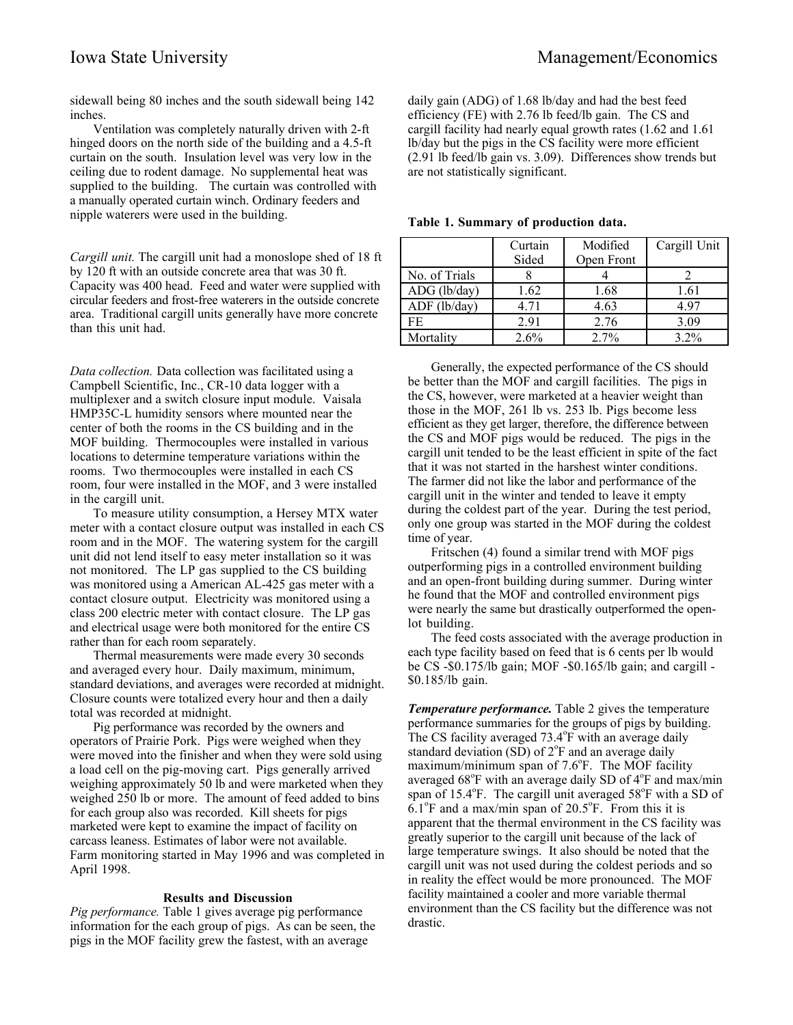sidewall being 80 inches and the south sidewall being 142 inches.

Ventilation was completely naturally driven with 2-ft hinged doors on the north side of the building and a 4.5-ft curtain on the south. Insulation level was very low in the ceiling due to rodent damage. No supplemental heat was supplied to the building. The curtain was controlled with a manually operated curtain winch. Ordinary feeders and nipple waterers were used in the building.

*Cargill unit.* The cargill unit had a monoslope shed of 18 ft by 120 ft with an outside concrete area that was 30 ft. Capacity was 400 head. Feed and water were supplied with circular feeders and frost-free waterers in the outside concrete area. Traditional cargill units generally have more concrete than this unit had.

*Data collection.* Data collection was facilitated using a Campbell Scientific, Inc., CR-10 data logger with a multiplexer and a switch closure input module. Vaisala HMP35C-L humidity sensors where mounted near the center of both the rooms in the CS building and in the MOF building. Thermocouples were installed in various locations to determine temperature variations within the rooms. Two thermocouples were installed in each CS room, four were installed in the MOF, and 3 were installed in the cargill unit.

To measure utility consumption, a Hersey MTX water meter with a contact closure output was installed in each CS room and in the MOF. The watering system for the cargill unit did not lend itself to easy meter installation so it was not monitored. The LP gas supplied to the CS building was monitored using a American AL-425 gas meter with a contact closure output. Electricity was monitored using a class 200 electric meter with contact closure. The LP gas and electrical usage were both monitored for the entire CS rather than for each room separately.

Thermal measurements were made every 30 seconds and averaged every hour. Daily maximum, minimum, standard deviations, and averages were recorded at midnight. Closure counts were totalized every hour and then a daily total was recorded at midnight.

Pig performance was recorded by the owners and operators of Prairie Pork. Pigs were weighed when they were moved into the finisher and when they were sold using a load cell on the pig-moving cart. Pigs generally arrived weighing approximately 50 lb and were marketed when they weighed 250 lb or more. The amount of feed added to bins for each group also was recorded. Kill sheets for pigs marketed were kept to examine the impact of facility on carcass leaness. Estimates of labor were not available. Farm monitoring started in May 1996 and was completed in April 1998.

# **Results and Discussion**

*Pig performance.* Table 1 gives average pig performance information for the each group of pigs. As can be seen, the pigs in the MOF facility grew the fastest, with an average

daily gain (ADG) of 1.68 lb/day and had the best feed efficiency (FE) with 2.76 lb feed/lb gain. The CS and cargill facility had nearly equal growth rates (1.62 and 1.61 lb/day but the pigs in the CS facility were more efficient (2.91 lb feed/lb gain vs. 3.09). Differences show trends but are not statistically significant.

|                | Curtain<br>Sided | Modified<br>Open Front | Cargill Unit |
|----------------|------------------|------------------------|--------------|
| No. of Trials  |                  |                        |              |
| $ADG$ (lb/day) | 1.62             | 1.68                   | 1.61         |
| ADF (lb/day)   | 4.71             | 4.63                   | 4.97         |
| FF.            | 2.91             | 2.76                   | 3.09         |
| Mortality      | 2.6%             | 2.7%                   | $3.2\%$      |

**Table 1. Summary of production data.**

Generally, the expected performance of the CS should be better than the MOF and cargill facilities. The pigs in the CS, however, were marketed at a heavier weight than those in the MOF, 261 lb vs. 253 lb. Pigs become less efficient as they get larger, therefore, the difference between the CS and MOF pigs would be reduced. The pigs in the cargill unit tended to be the least efficient in spite of the fact that it was not started in the harshest winter conditions. The farmer did not like the labor and performance of the cargill unit in the winter and tended to leave it empty during the coldest part of the year. During the test period, only one group was started in the MOF during the coldest time of year.

Fritschen (4) found a similar trend with MOF pigs outperforming pigs in a controlled environment building and an open-front building during summer. During winter he found that the MOF and controlled environment pigs were nearly the same but drastically outperformed the openlot building.

The feed costs associated with the average production in each type facility based on feed that is 6 cents per lb would be CS -\$0.175/lb gain; MOF -\$0.165/lb gain; and cargill - \$0.185/lb gain.

*Temperature performance.* Table 2 gives the temperature performance summaries for the groups of pigs by building. The CS facility averaged 73.4°F with an average daily standard deviation (SD) of  $2^{\circ}$ F and an average daily  $maximum/minimum$  span of  $7.6^{\circ}$ F. The MOF facility averaged 68°F with an average daily SD of 4°F and max/min span of 15.4°F. The cargill unit averaged 58°F with a SD of  $6.1^{\circ}$ F and a max/min span of 20.5 $^{\circ}$ F. From this it is apparent that the thermal environment in the CS facility was greatly superior to the cargill unit because of the lack of large temperature swings. It also should be noted that the cargill unit was not used during the coldest periods and so in reality the effect would be more pronounced. The MOF facility maintained a cooler and more variable thermal environment than the CS facility but the difference was not drastic.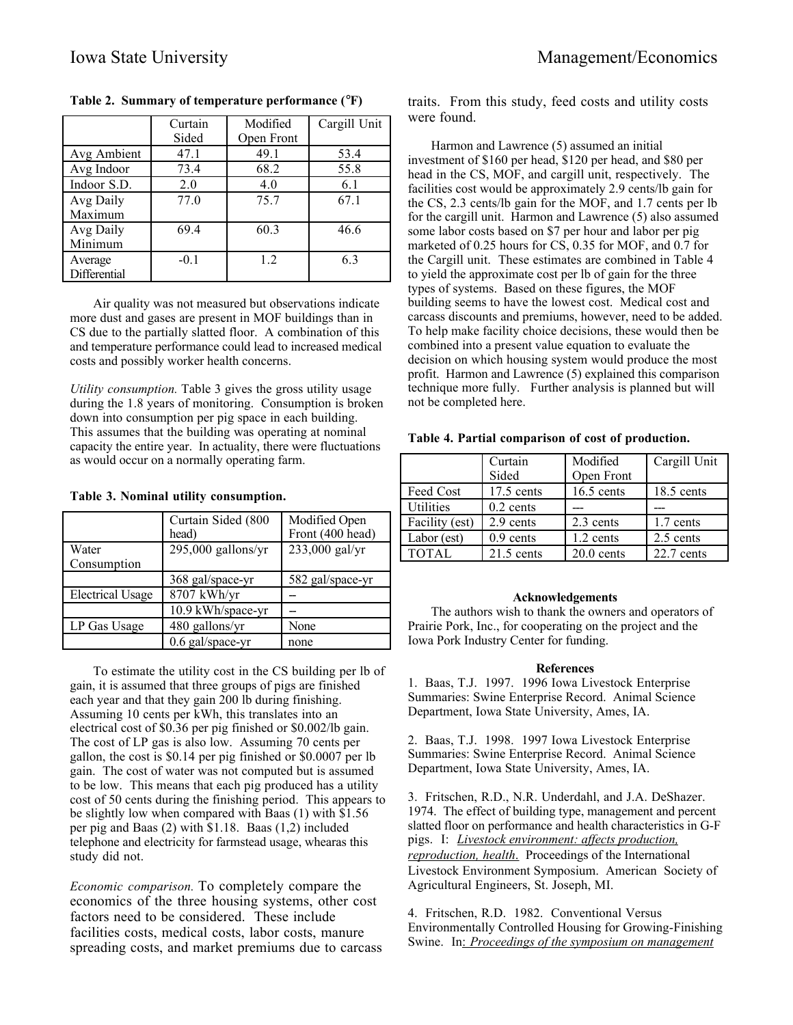|              | Curtain | Modified   | Cargill Unit |
|--------------|---------|------------|--------------|
|              | Sided   | Open Front |              |
| Avg Ambient  | 47.1    | 49.1       | 53.4         |
| Avg Indoor   | 73.4    | 68.2       | 55.8         |
| Indoor S.D.  | 2.0     | 4.0        | 6.1          |
| Avg Daily    | 77.0    | 75.7       | 67.1         |
| Maximum      |         |            |              |
| Avg Daily    | 69.4    | 60.3       | 46.6         |
| Minimum      |         |            |              |
| Average      | $-0.1$  | 12         | 6.3          |
| Differential |         |            |              |

**Table 2. Summary of temperature performance (**°**F)**

Air quality was not measured but observations indicate more dust and gases are present in MOF buildings than in CS due to the partially slatted floor. A combination of this and temperature performance could lead to increased medical costs and possibly worker health concerns.

*Utility consumption.* Table 3 gives the gross utility usage during the 1.8 years of monitoring. Consumption is broken down into consumption per pig space in each building. This assumes that the building was operating at nominal capacity the entire year. In actuality, there were fluctuations as would occur on a normally operating farm.

**Table 3. Nominal utility consumption.**

|                         | Curtain Sided (800<br>head) | Modified Open<br>Front (400 head) |
|-------------------------|-----------------------------|-----------------------------------|
| Water                   | $295,000$ gallons/yr        | 233,000 gal/yr                    |
| Consumption             |                             |                                   |
|                         | 368 gal/space-yr            | 582 gal/space-yr                  |
| <b>Electrical Usage</b> | 8707 kWh/yr                 |                                   |
|                         | 10.9 kWh/space-yr           |                                   |
| LP Gas Usage            | 480 gallons/yr              | None                              |
|                         | 0.6 gal/space-yr            | none                              |

To estimate the utility cost in the CS building per lb of gain, it is assumed that three groups of pigs are finished each year and that they gain 200 lb during finishing. Assuming 10 cents per kWh, this translates into an electrical cost of \$0.36 per pig finished or \$0.002/lb gain. The cost of LP gas is also low. Assuming 70 cents per gallon, the cost is \$0.14 per pig finished or \$0.0007 per lb gain. The cost of water was not computed but is assumed to be low. This means that each pig produced has a utility cost of 50 cents during the finishing period. This appears to be slightly low when compared with Baas (1) with \$1.56 per pig and Baas (2) with \$1.18. Baas (1,2) included telephone and electricity for farmstead usage, whearas this study did not.

*Economic comparison.* To completely compare the economics of the three housing systems, other cost factors need to be considered. These include facilities costs, medical costs, labor costs, manure spreading costs, and market premiums due to carcass traits. From this study, feed costs and utility costs were found.

Harmon and Lawrence (5) assumed an initial investment of \$160 per head, \$120 per head, and \$80 per head in the CS, MOF, and cargill unit, respectively. The facilities cost would be approximately 2.9 cents/lb gain for the CS, 2.3 cents/lb gain for the MOF, and 1.7 cents per lb for the cargill unit. Harmon and Lawrence (5) also assumed some labor costs based on \$7 per hour and labor per pig marketed of 0.25 hours for CS, 0.35 for MOF, and 0.7 for the Cargill unit. These estimates are combined in Table 4 to yield the approximate cost per lb of gain for the three types of systems. Based on these figures, the MOF building seems to have the lowest cost. Medical cost and carcass discounts and premiums, however, need to be added. To help make facility choice decisions, these would then be combined into a present value equation to evaluate the decision on which housing system would produce the most profit. Harmon and Lawrence (5) explained this comparison technique more fully. Further analysis is planned but will not be completed here.

|                  | Curtain<br>Sided | Modified<br>Open Front | Cargill Unit |
|------------------|------------------|------------------------|--------------|
| Feed Cost        | $17.5$ cents     | $16.5$ cents           | $18.5$ cents |
| <b>Utilities</b> | $0.2$ cents      |                        |              |
| Facility (est)   | 2.9 cents        | 2.3 cents              | 1.7 cents    |
| Labor (est)      | $0.9$ cents      | 1.2 cents              | 2.5 cents    |
| TOTAL            | $21.5$ cents     | $20.0$ cents           | $22.7$ cents |

## **Table 4. Partial comparison of cost of production.**

## **Acknowledgements**

The authors wish to thank the owners and operators of Prairie Pork, Inc., for cooperating on the project and the Iowa Pork Industry Center for funding.

#### **References**

1. Baas, T.J. 1997. 1996 Iowa Livestock Enterprise Summaries: Swine Enterprise Record. Animal Science Department, Iowa State University, Ames, IA.

2. Baas, T.J. 1998. 1997 Iowa Livestock Enterprise Summaries: Swine Enterprise Record. Animal Science Department, Iowa State University, Ames, IA.

3. Fritschen, R.D., N.R. Underdahl, and J.A. DeShazer. 1974. The effect of building type, management and percent slatted floor on performance and health characteristics in G-F pigs. I: *Livestock environment: affects production, reproduction, health*. Proceedings of the International Livestock Environment Symposium. American Society of Agricultural Engineers, St. Joseph, MI.

4. Fritschen, R.D. 1982. Conventional Versus Environmentally Controlled Housing for Growing-Finishing Swine. In: *Proceedings of the symposium on management*